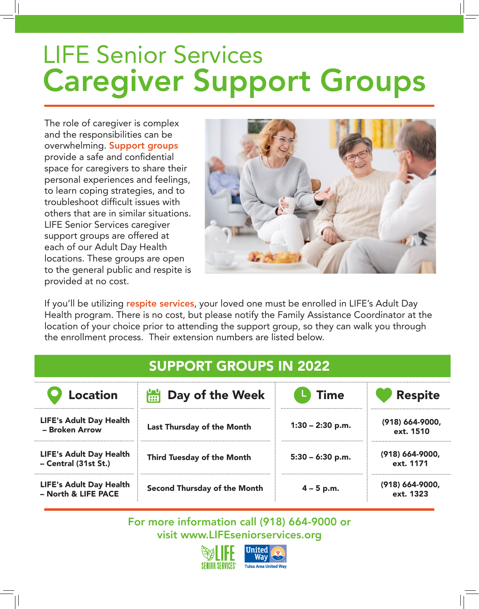# LIFE Senior Services Caregiver Support Groups

The role of caregiver is complex and the responsibilities can be overwhelming. Support groups provide a safe and confidential space for caregivers to share their personal experiences and feelings, to learn coping strategies, and to troubleshoot difficult issues with others that are in similar situations. LIFE Senior Services caregiver support groups are offered at each of our Adult Day Health locations. These groups are open to the general public and respite is provided at no cost.



If you'll be utilizing respite services, your loved one must be enrolled in LIFE's Adult Day Health program. There is no cost, but please notify the Family Assistance Coordinator at the location of your choice prior to attending the support group, so they can walk you through the enrollment process. Their extension numbers are listed below.

| <b>Location</b>                                        | Day of the Week<br><b>DO</b>        | Time               | <b>Respite</b>                   |
|--------------------------------------------------------|-------------------------------------|--------------------|----------------------------------|
| <b>LIFE's Adult Day Health</b><br>- Broken Arrow       | <b>Last Thursday of the Month</b>   | $1:30 - 2:30$ p.m. | $(918) 664 - 9000,$<br>ext. 1510 |
| <b>LIFE's Adult Day Health</b><br>- Central (31st St.) | Third Tuesday of the Month          | $5:30 - 6:30$ p.m. | $(918) 664 - 9000,$<br>ext. 1171 |
| <b>LIFE's Adult Day Health</b><br>- North & LIFE PACE  | <b>Second Thursday of the Month</b> | $4 - 5$ p.m.       | $(918)$ 664-9000,<br>ext. 1323   |

For more information call (918) 664-9000 or visit www.LIFEseniorservices.org